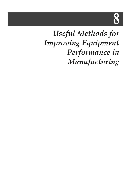# 8

## *Useful Methods for Improving Equipment Performance in Manufacturing*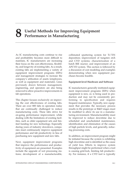### **8 Useful Methods for Improving Equipment Performance in Manufacturing**

As IC manufacturing costs continue to rise and profitability becomes more difficult to maintain, IC manufacturers are increasing their focus on the cost effectiveness, flexibility, and longevity of existing fabs. As a result, existing fabs are implementing a variety of equipment improvement programs (EIPs) and management strategies to increase the company's utilization of assets (employees, as well as equipment and materials). Lines previously drawn between management, engineering, and operators are also being removed to allow proactive improvements in fab operations.

This chapter focuses exclusively on improving the cost effectiveness of existing fabs. There are over 800 fabs in operation today that are continually challenged to reduce manufacturing costs. These fabs strive for on-going performance improvement, while dealing with the limitations of existing facilities, such as older equipment sets and limited funding for new technology. Especially during years of industry slowdown, companies must continuously improve equipment performance and fab productivity in lieu of purchasing new equipment and new fabs.

Next, equipment improvement programs that improve the performance and productivity of equipment are presented. Examples include the upgrade of wet processing stations; development of a manufacturable,

collimated sputtering system for Ti/TiN deposition; improvement of tungsten etch and CVD systems; characterization of a batch RIE reactor; and improvement of an APCVD system. This section is followed by a discussion of cost modeling and examples demonstrating when new equipment purchases become feasible.

#### **Equipment-level Hardware and Software**

IC manufacturers generally instituted equipment improvement programs (EIPs) when equipment is new, or, is being used in production and may not be consistently performing to specification and requires frequent maintenance. Typically, new equipment that provides the necessary process results in the prototype or R&D stages must be modified to allow its use in a manufacturing environment. Manufacturability must be improved to reduce downtime due to scheduled and unscheduled maintenance, identification and elimination of the causes of high particle levels, and generally, reducing processing costs.

In addition, an improvement program might be initiated because the system is exhibiting high downtime and is identified as the cause of yield loss. Efforts to improve system throughput might be performed when a tool is causing grid-lock, limiting fab productivity. For instance, if a CVD tool is typically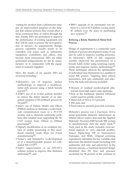waiting for product from a photoresist stripper, an improvement program on the stripper that reduces process time would allow a more continuous flow of wafers through the line. Finally, EIPs are performed to improve the performance of existing equipment sets that will be used to process the next generation of devices. As requirements change, process capability usually needs to be extended, and issues such as uniformity, equipment availability, and others, may become more pronounced. EIPs are either performed independently by the IC manufacturer, or in conjunction with the equipment or material suppliers.

Here, the results of six specific EIPs are reviewed including:

- Motorola's use of response surface methodology to improve a multilevelmetal etch process using a batch hexode reactor<sup>[1]</sup>,
- AMD's use of an in-line particle monitor to reduce the defect density of an integrated tungsten CVD-etchback process by  $10-fold^{[2]}$ .
- Intel's use of Failure Modes and Effects (FMEA) analysis to eliminate a wafer backside contamination issue in a W-CVD system, and to eliminate uniformity problems that resulted from upgrading the W-CVD system from 150mm to 200mm processing[3],
- Digital's modification of an oxidation furnace to enable processing of thin reoxidized nitrided oxide films for 0.5µm manufacturing<sup>[4]</sup>,
- Varian's and Sematech's co-development of of a manufacturable process for collimated TiN CVD<sup>[5]</sup>,
- Intel's improvement of an APCVD's exhaust system to improve film thickness uniformity<sup>[6]</sup>, and

• IBM's upgrade of six automated wet stations at a cost of \$1.9 million, saving nearly \$7 million over the price of purchasing new systems.[7]

#### **Refining a Batch, Multilevel Metal Etch Process**

Design of experiments is a commonly used method of process development today. It can also be used to improve existing processes. At Motorola's MOS 12 fab, engineers recently improved the performance of a hexode batch etcher using screening experiments and response surface methodology.<sup>[1]</sup> These techniques allowed the optimization of individual step chemistries in a multilevel metal RIE process. Targeting three critical parameters, etch rate, uniformity and selectivity, the bulk etch process included:

- Descum of residual (undeveloped) photoresist from high aspect ratio openings,
- Etch of the hardmask (plasma enhanced oxide) used for profile control,
- Metal etch of Al-Cu (1.5 percent),
- TiW etch, and
- Passivation to prevent post-etch corrosion.

Motorola's process was a four-layer, Al-Cu metal/polyimide dielectric interconnect on 100mm silicon wafers, that used the Applied Materials' Precision 8300 hexode RIE system to simultaneously etch the metal stack.<sup>[1]</sup> Tools used in the study included cross-sectional analysis to view sidewall profiles, Tencor Alpha-Step 100 or Nanometrics Nanospec, and SEMs. Original screening experiments identified the key variables that determine the desired results (including etch uniformity, etch rate, and selectivity). In the descum process, a fractional factorial design identified that DC bias and pressure accounted for 90 percent of the variation in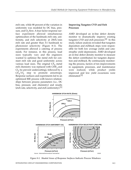etch rate, while 88 percent of the variation in uniformity was modeled by DC bias, pressure, and  $O_2$  flow. A four factor response surface experiment allowed simultaneous optimization of the hardmask etch rate, uniformity, and etch selectivity at 250Å/min etch rate and greater than 3:1 hardmask to photoresist selectivity (Figure 8-1). The experiments allowed a catering of process needs. For instance, in this process, load sizes typically vary and the engineers wanted to optimize the metal etch for constant etch rate and good uniformity across various load sizes. The original  $CF_4$  metal etch chemistry was replaced with  $CHF<sub>3</sub>$  and  $Cl<sub>2</sub>$  (to prevent undercutting), followed by a  $CF_4/O_2$  step to promote anisotropy. Response surfaces and experiments led to an optimized RIE process with known relationships between process parameters (i.e., DC bias, pressure, and chemistry) and results (etch rate, selectivity, and etch uniformity).<sup>[1]</sup>

#### **Improving Tungsten CVD and Etch Processes**

AMD developed an in-line defect density monitor to dramatically improve existing tungsten CVD and etch processes.<sup>[2]</sup> In this study, failure analysis revealed that tungsten deposition and etchback steps were responsible for both low average yields and catastrophic yield depressions. AMD developed an in-line defect density monitor to measure the defect contribution for tungsten deposition and etchback. By continuously monitoring the process, factors of ten improvements in equipment, processes, and maintenance were realized, while product yields improved and low yield excursions were eliminated.<sup>[2]</sup>



*Figure 8-1. Shaded Areas of Response Surfaces Indicate Process Windows*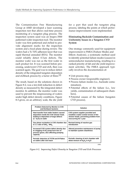The Contamination Free Manufacturing Group at AMD developed a laser scanning inspection test that allows real-time process monitoring of a tungsten plug process. The inspection system used was an Inspex-3500 patterned wafer inspection tool. The monitor wafer was first patterned and etched to provide alignment marks for the inspection system and a focal plane during review. The wafers had a Ti/TiN adhesion layer that was rapid thermal annealed (RTA). The monitor could reliably detect  $0.7\mu$ m defects. The monitor wafer was run as the first wafer in each product lot. It was scanned before processing, underwent CVD and etch, then was scanned again. The goal was to reduce defect density of the integrated tungsten deposition and etchback process by a factor of three.<sup>[2]</sup>

The result, based on the solutions shown in Figure 8-2, was a ten-fold reduction in defect density as measured by the integrated defect monitor. In addition, the monitor wafer was used to prevent the misprocessing of wafers under high defect density conditions. Figure 8-3 gives, on an arbitrary scale, the die yield

for a part that used the tungsten plug process, labeling the points at which performance improvements were implemented.

#### **Eliminating Backside Contamination and Uniformity Issues in a Tungsten CVD System**

One strategy commonly used for equipment improvement is FMEA (Failure Modes and Effects Analysis), a systematic method used to identify potential failure modes (causes) in semiconductor manufacturing, resulting in a ranked priority of fab and die yield improvement activities. The FMEA approach typically involves the documentation of:

- Unit process step,
- Process owner (responsible engineer),
- Process failure modes (i.e., backside contamination),
- Potential effects of the failure (i.e., low yields, contamination of subsequent chambers),
- Potential causes of the failure (tungsten CVD process),

| <b>Problem Detected by Monitor in CVD</b><br>and Etchback Systems                                                                   | <b>Solution</b>                                                          |
|-------------------------------------------------------------------------------------------------------------------------------------|--------------------------------------------------------------------------|
| Heat transfer from wafer heaters caused                                                                                             | CVD system supplier provided and                                         |
| deposition inside the CVD shower head,                                                                                              | installed a water-cooled version of the                                  |
| leading to deposition of large defects                                                                                              | shower heads, preventing problem from                                    |
| $(1 - 5\mu m)$ on wafer                                                                                                             | reoccurring for 1 year                                                   |
| Gas phase nucleation in CVD chamber due                                                                                             | Revised timing of reactive gas                                           |
| to 1:1 ratio of $SH_4:WH_6$                                                                                                         | introduction                                                             |
| Increased CVD system defect density due<br>to clogging of dry pump burn box of<br>process gases, also affecting pumping<br>capacity | Altered preventive maintenance of pump<br>to maintain system cleanliness |
| Periodic detection of Ti/TiN and W flakes                                                                                           | Periodic cleaning of etch chamber with                                   |
| on wafers after etch back                                                                                                           | dilute mixture of $H_2O_2$ in $H_2O$                                     |

19981

*Figure 8-2. Improving Defect Density in Tungsten CVD and Etch Processes*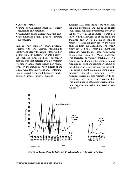- Current controls,
- Rating of risk factors (rated for severity, occurrence, and detection),
- Assignment of risk priority numbers, and
- Recommended actions given to eliminate the problem.

Intel recently used an FMEA program, together with Finite Element Modeling to identify and rectify the cause of low yield on a tungsten CVD system.<sup>[3]</sup> In this example, the backside tungsten (BSW) deposition problem was first detected by a downstream wet station that reported higher than normal levels on the station monitor. Effects of the failure were low line yields and contamination of several steppers, lithography tracks, diffusion furnaces, and wet stations.

Tungsten CVD steps include: the nucleation, the bulk deposition, and the backside etch (BSE) steps. BSE can be performed by elevating the wafer in the chamber, so that it is flush with the showerhead at the top of the chamber, and an RF plasma is used to remove residual tungsten left on the wafer backside from the deposition. The FMEA study revealed that wafer placement and argon flow were the most important causes of problems (Figure 8-4). Wafer placement was corrected by visually checking it on a regular basis. Changing the argon MFC and regularly checking the calibration factors on the MFCs on a weekly basis solved the problem. Finite element simulation using a commercially available program, FIDAP, revealed several process regimes (with different gas flow rates), where redeposition was more likely to occur. Long term, simulation was used to develop improved process recipes.[3]



*Figure 8-3. Factor of Ten Reduction in Defect Density for a Tungsten CVD Tool*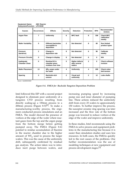| $\frac{1}{2}$                      |                    |                                                            |                 |                                                  |                   |              |                                           |
|------------------------------------|--------------------|------------------------------------------------------------|-----------------|--------------------------------------------------|-------------------|--------------|-------------------------------------------|
| <b>Causes</b>                      | <b>Occurrences</b> | <b>Effects</b>                                             | <b>Severity</b> | <b>Detection</b>                                 | <b>Protection</b> | <b>RPN</b>   | Recommended<br><b>Actions</b>             |
| <b>Argon Flow</b>                  | $\overline{7}$     | <b>Uniformity</b>                                          | 6               | <b>MFC</b> fault                                 | 8                 | 336          | <b>Check MFC</b><br>calibration<br>weekly |
| <b>Wafer Variability</b>           | 5                  | <b>Different backsides</b><br>susceptible to<br>deposition | $\mathbf{2}$    | Not detected                                     | 8                 | 80           | <b>Run limited</b><br>product types       |
| <b>Pressure</b><br>(baratron)      | $\mathbf{2}$       | Change in<br>deposition rate                               | 8               | Not detected                                     | 6                 | 96           | Calibrate<br>weekly                       |
| <b>Pressure Circuits</b>           | $\mathbf{0}$       | Change in display                                          | 8               | Not detected                                     | 6                 | $\bf{0}$     | N/A                                       |
| Inadequate<br><b>Chamber Clean</b> | $\bf{0}$           | <b>Residual Win</b><br>chamber gives<br>residues over time | 5               | <b>Higher defects</b><br>after several<br>wafers | $\mathbf{2}$      | $\mathbf{0}$ | <b>Check software</b><br>revision         |
| <b>Wafer Placement</b>             | 13                 | $WF6$ seeps under<br>the wafer                             | 4               | <b>Uniformity</b>                                | 4                 | 208          | <b>Check robot</b><br>belt tension        |
| Spacing                            | 3                  | <b>Backside etch</b><br>uneven                             | $\mathbf{2}$    | Visual and<br>uniformity                         | $\mathbf{2}$      | 12           | Lube shafts                               |
| Source: Intel/IEEE/SEMI            |                    |                                                            |                 |                                                  |                   |              | 19854                                     |

| <b>Equipment Name:</b>      | <b>ABC Reactor</b> |
|-----------------------------|--------------------|
| Subsystem/Function: LPCVD/W |                    |

*Figure 8-4. FMEA for Backside Tungsten Deposition Problem*

Intel followed this EIP with a second project designed to eliminate poor uniformity of a tungsten CVD process resulting from directly scaling-up a 150mm process to a 200mm process (Figure 8-5) $\left[3\right]$ . To make a manufacturing-worthy process, the engineers conducted process simulations and an FMEA. The model showed the presence of vortices at the edge of the wafer where reactant gases from the top and the argon purge from the bottom merge before getting pumped away. The FMEA (Figure 8-6) pointed to residue accumulation of fluorine in the reactor chamber due to the higher amount of  $WF_6$  used to process the larger wafers. This was the cause of the uniformity drift, subsequently confirmed by residual gas analysis. The action taken was to introduce inert purge between wafers, and

increasing pumping speed by increasing pump size and inner diameter of pumping line. These actions reduced the uniformity drift from every 25 wafers to approximately 150 wafers. To further improve the process, the susceptor ceramic ring spacing was later increased and the flow rate of the bottom purge was lowered to reduce vortices at the edge of the wafer and improve uniformity.

In these studies, Intel recommends using the FMEA to solve process and equipment problems in the manufacturing line because it is easier than simulation studies and uses less resources. In both cases, the FMEAs quickly led to the root causes of the problems. One further recommendation was the use of modeling techniques at new equipment and process development stages.[3]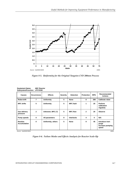

*Figure 8-5. Uniformity for the Original Tungsten CVD 200mm Process*

| <b>Equipment Name:</b><br>Subsystem/Function: LPCVD/W | <b>ABC Reactor</b> |                    |                 |                   |                   |            |                                                       |
|-------------------------------------------------------|--------------------|--------------------|-----------------|-------------------|-------------------|------------|-------------------------------------------------------|
| <b>Causes</b>                                         | <b>Occurrences</b> | <b>Effects</b>     | <b>Severity</b> | <b>Detection</b>  | <b>Protection</b> | <b>RPN</b> | Recommended<br><b>Actions</b>                         |
| <b>Robot drift</b>                                    | 7                  | <b>Uniformity</b>  | 5               | <b>None</b>       | 8                 | 280        | <b>Calibrate robot</b>                                |
| <b>MFC</b> drifts                                     | 5                  | <b>Uniformity</b>  | 5               | <b>MFC</b> fault  | 1                 | 25         | <b>Perform</b><br>calibration<br>regularly            |
| <b>Gas delivery</b><br>pressure                       | $\mathbf{2}$       | Unknown, MFC (?)   | 5               | <b>MFC flow</b>   | $\mathbf{2}$      | 20         | Observe                                               |
| <b>Pump speeds</b>                                    | $\mathbf 0$        | All parameters     | 8               | <b>Interlocks</b> | 4                 | $\bf{0}$   | N/A                                                   |
| Residue<br><b>Accumulation</b>                        | 0                  | Uniformity, others | 5               | <b>None</b>       | 9                 | 45         | Introduce inert<br>purge<br>Increase pumping<br>speed |
| 19856<br>Source: Intel/IEEE/SEMI                      |                    |                    |                 |                   |                   |            |                                                       |

| Figure 8-6. Failure Modes and Effects Analysis for Reactor Scale-Up |  |  |
|---------------------------------------------------------------------|--|--|
|                                                                     |  |  |
|                                                                     |  |  |
|                                                                     |  |  |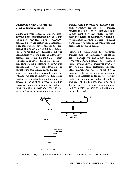#### **Developing a New Dielectric Process Using an Existing Furnace**

Digital Equipment Corp. in Hudson, Mass., improved the manufacturability of a thin reoxidized nitrided oxide (ROXNOX) process, a new application for a horizontal oxidation furnace, developed for the processing of a 0.5µm, 3.3V, 64-bit microprocessor<sup>[4]</sup>. The Model BDF 41 furnace from Bruce Technologies was modified to allow lowpressure processing (Figure 8-7). To form sufficient nitrogen at the  $Si-SiO<sub>2</sub>$  interface, high-temperature processing (>950°C) was needed, and low pressure allowed better control of the oxidation rate. For this process, a very thin reoxidized nitrided oxide film (<100Å) was used to improve the hot carrier resistance of the gate. Running the prototype process in the existing furnace resulted in severe downtime due to equipment malfunctions, high particle levels and poor film uniformity. A series of equipment and process

changes were performed to develop a production-worthy process. These changes resulted in a factor of two film uniformity improvement, a twenty percent improvement in equipment availability, a factor of two reduction in average particle counts, and significant reduction in the magnitude and occurrence of particle spikes.<sup>[4]</sup>

Figure 8-8 summarizes the hardware changes made to significantly reduce inprocess particle levels and improve film uniformity to  $\pm$ 4Å. As a result of these changes, furnace availability was improved by 20 percent, and time spent performing unscheduled maintenance was reduced by 22 percent. Reduced standard deviations in both cases indicates better process stability. Particle tests, using test wafers at the front and rear of the furnace, measured on a Tencor Surfscan 4500, revealed significant improvements in particle levels and film uniformity (to  $\pm 3\text{\AA}$ ).



*Figure 8-7. Modified Diffusion Furnace Used to Process Thin Reoxidized Nitrided Oxide Films*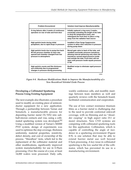| <b>Problem Encountered</b>                                                                                                                             | <b>Solution Used Improve Manufacturability</b>                                                                                                                                                                                                                                      |
|--------------------------------------------------------------------------------------------------------------------------------------------------------|-------------------------------------------------------------------------------------------------------------------------------------------------------------------------------------------------------------------------------------------------------------------------------------|
| O-ring failures after 4 weeks of continuous<br>operation on rear of tube and front door                                                                | Initially replaced o-ring every 3 weeks,<br>eventually extending the length of the tube<br>to drop the temperature (rear), and<br>redesigned the front door to place o-ring<br>away from the radiation heat source                                                                  |
| High particle levels during initial<br>pumpdown, due to rapid drops in pressure                                                                        | Installed a Flow Surge Suppression<br>system to allow slow reduction in pressure<br>during pump down                                                                                                                                                                                |
| High particle levels due to pump-line back-<br>fill into process chamber as door was<br>opened and chamber changed from low<br>pressure to atmospheric | Moved gate valve to back of the tube, and<br>installed over/under pressure transducer,<br>allowing interval advancing only when the<br>transducer sensed equal pressure inside<br>and outside the tube. Front door will not<br>open until pressure inside equals pressure<br>in fab |
| High particle counts and film thickness<br>non-uniformity due to programmed<br>changes in pressure during processing                                   | Modified recipe to eliminate rapid pressure<br>drops                                                                                                                                                                                                                                |
|                                                                                                                                                        | 19982                                                                                                                                                                                                                                                                               |

*Figure 8-8. Hardware Modifications Made to Improve the Manufacturability of a New Reoxidized Nitrided Oxide Process* 

#### **Developing a Collimated Sputtering Process Using Existing Equipment**

The next example also illustrates a procedure used to modify an existing piece of semiconductor equipment for a new application. Through a partnership between Varian and Sematech, a manufacturable process for depositing barrier metal (Ti/TiN) into subhalf-micron contacts and vias, using a collimated sputtering system was developed.<sup>[6]</sup> Using a modified version of Varian's M2000 PVD system, design of experiments was used to optimize the step coverage, thickness uniformity, material properties, resistivity, defect density, and cost of ownership of the process. "Marathon" tests, which led to the replacement of the collimator material and other modifications, significantly improved system manufactuability for use in 0.35µm processing. Over the course of a year, at least 14,000 wafers were processed. Daily calls,

weekly conference calls, and monthly meetings between team members as well and quarterly reviews with the Sematech board, facilitated communication and cooperation.

The use of low contact resistance titanium films as a barrier metal is challenging due to the need to provide conformal sidewall coverage, with no thinning and no "shoulder cusping" in high aspect ratio (5:1 or more) structures. New CVD systems are competing with collimated sputtering tools for this application. Collimation, which is capable of controlling the angle of incidence in a sputtering environment (Figure 8-9), is one solution that may be able to extend barrier metal use well beyond  $0.5\mu$ m processing. A key issue in collimated sputtering is the low useful life of the collimator, which has prevented its use in a manufacturing environment.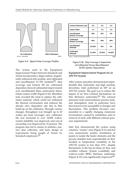

*Figure 8-9. Typical Step Coverage Profiles*

The system used in the Equipment Improvement Project between Sematech and Varian incorporated a degas station, magnetically-enhanced etch module, and collimated and uncollimated Ti/TiN modules<sup>[5]</sup>. Step coverage and bottom fill for collimated deposition showed substantial improvement over uncollimated films, particularly below 0.8µm contact width (Figure 8-10). Marathon tests revealed the need to replace the collimator material, which could not withstand the thermal environment and reduced the already slow deposition rate due to film build-up on the collimator. Through various changes, throughput was brought up to 20 wafers per hour (average), new collimator life was increased to over 10,000 wafers, system reliability was improved, and cost of ownership was improved by 33 percent. The program also led to classes in statistics, passive data collection, and basic design of experiments being taught at Varian by Sematech employees.<sup>[5]</sup>

| <b>Contact Diameter (um)</b>               | 0.8    | 0.6    | 0.4    |  |
|--------------------------------------------|--------|--------|--------|--|
| <b>Aspect Ratio</b>                        | 1.4    | 1.6    | 2.3    |  |
| Uncollimated<br><b>Bottom Coverage</b>     | 19%    | N/A    | 4%     |  |
| Collimated<br><b>Bottom Coverage</b>       | 50%    | 45%    | 40%    |  |
| Uncollimated<br>Sidewall                   | 15-36% | N/A    | 3%     |  |
| Collimated<br>Sidewall                     | 21-26% | 19-22% | 15-20% |  |
| Source: Sematech/Varian/IEEE/SEMI<br>19860 |        |        |        |  |

#### *Figure 8-10. Step Coverage Comparison of Collimated Versus Uncollimated Ti/TiN Sputter Depositions*

#### **Equipment Improvement Program for an APCVD System**

After system operation demonstrated unpredictable film uniformity and high machine downtime, Intel performed an EIP on an APCVD system. The goal was to reduce the impact of air flow/exhaust fluctuations on film thickness uniformity.<sup>[6]</sup> The exhaust pressures from semiconductor process tools, and atmospheric tools in particular, have been known to be susceptible to changes and fluctuations. This problem becomes compounded in a rapidly changing cleanroom environment, caused by installation and/or removal of tools with different exhaust pressure requirements.

Intel first characterized the system using extensive "smoke" tests (Figure 8-11) and hot wire anemometer studies. Installation of panels to isolate the heater elements and the process chamber from unpredictable air flow resulted in temperature variability in the APCVD system to less than 10°C, despite fluctuations in the bay-to-chase air flow and scrubber exhaust. System availability and wafer-to-wafer BPSG thickness uniformity (Figure 8-12) were significantly improved.<sup>[6]</sup>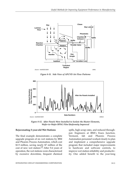

*Figure 8-11. Side View of APCVD Air Flow Patterns*



*Figure 8-12. After Panels Were Installed to Isolate the Heater Elements, Wafer-to-Wafer BPSG Film Uniformity Improved*

#### **Rejuvenating 5-year-old Wet Stations**

The final example demonstrates a complete upgrade program of six wet stations by IBM and Phoenix Process Automation, which cost \$1.9 million, saving nearly \$7 million of the cost of new wet station.[7] After 5-6 years of operation, the wet stations were characterized by excessive downtime, frequent chemical

spills, high scrap rates, and reduced throughput. Engineers at IBM's Essex Junction, Vermont, fab and Phoenix Process Automation personnel worked closely to plan and implement a comprehensive upgrade program that included major improvements to hardware and software controls, to improve wet station reliability and productivity. One added benefit to the year-long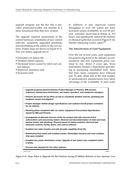upgrade program was the fact that it provided production-worthy wet benches in a faster turnaround time than new systems.

The upgrade required replacement of the control hardware, installation of new control software, completely upgraded plumbing, and refurbishing of the robots on the wet stations. Project steps are shown in Figure 8-13. This wet station upgrade led to:

- Extended wet station life,
- Doubled station capacity,
- Decreased losses caused by robot and control failures,
- Improved sanitation, and
- Increased yield

In addition, it also improved system throughput to over 120 wafers per hour, increased system availability to over 85 percent, extended mean-time-to-failure to 215 hours, and significantly reduced the number of chemical spills that occurred (Figure 8-14), thereby enhancing worker safety.<sup>[7]</sup>

#### **The Attractiveness of Used Equipment**

Over the last several years, used equipment has gained a big boost in the industry as costsensitivity and new equipment prices continue to rise. About 8 years ago, Texas Instruments formed a department specializing in purchasing refurbished tools. Since that time, many companies have followed suit. To date, about half of the total number of semiconductor manufacturers have taken advantage of the availability of used wafer

**• Upgrade proposal planned between Project Manager at Phoenix, IBM process engineers, maintenance technicians, wet station operators, and equipment managers. • Phoenix personnel set-up office on-site to coordinate detailed controls, plumbing and hardware rework investigation. • Project manager drafted design specifications and outlined overall project schedules for six stations. • Planning phase completed after six weeks. Equipment Procurement Specification signed by IBM and Phoenix. • Arrangement of alternate process routes for product and safe removal of first sulfuric/nitric acid processing station. Removal and decontamination of robot and track, laminar hoods, and plumbing. Physical layout of station modules, electrical and electronic controls, facility drains, and control software. • Installed new wafer transfer unit with 50-wafer capability (from 25). • Refurbished flow hoods and installed frames. Reinstalled chemical and rinse modules. Drip pans installed. • Installed new power distribution center. Upgrade of wet station was completed within 8 weeks. • Process was repeated for five other stations.** Source: ICE 19983

*Figure 8-13. Steps Taken to Upgrade Six Wet Stations Saving \$7 Million Relative to New Systems' Cost*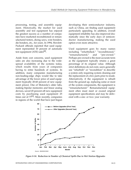processing, testing, and assembly equipment. Historically, the market for used assembly and test equipment has enjoyed the greatest success as a number of companies have marketed reconditioned or remanufactured testers, dicing saws, wire bonders, die bonders, etc., for years. In 1994, Hewlett-Packard officials reported that used equipment represented 10 percent of automatic test equipment (ATE) sales<sup>[8]</sup>.

Aside from cost concerns, used equipment sales are also increasing due to the widespread availability of the systems today, which results from years of companies having to retire hundreds of systems. In addition, many companies manufacturing non-leading-edge chips would like to take advantage of the lower price of used equipment (typically 20-60 percent of new equipment prices). One of Motorola's older fabs, making bipolar memories and linear analog devices, saved 45 percent off new equipment costs by purchasing used equipment 25 times out of  $77^{[9]}$ . More recently, companies in regions of the world that have just begun

developing their semiconductor industry, such as China, are finding used equipment particularly appealing. In addition, overall equipment reliability has also improved dramatically since the early days of semiconductor manufacturing, making the used option even more attractive.

Used equipment goes by many names including "refurbished," "reconditioned," "remanufactured," and "pre-owned." Perhaps pre-owned is the most accurate term as the equipment typically retains a great percentage of its original value. Although strict definitions do not exist, users generally use "refurbish" or "recondition" to describe a system only requiring system cleaning and the replacement of a few parts prior to resale. Alternatively, if the equipment is rebuilt from the ground up, replacing some or most of the system components, the equipment is "remanufactured." Remanufactured equipment often must meet or exceed original equipment specifications and may be delivered with a one- or two- year warranty.



*Figure 8-14. Reduction in Number of Chemical Spills Due to Wet Station Upgrades*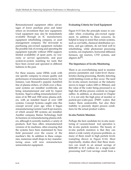Remanufactured equipment offers advantages of lower purchase price and faster return on investment than new equipment. Used equipment may also be immediately available through an IC manufacturer, equipment refurbishing company, or asset management company. The downside to purchasing pre-owned equipment includes the possible risk of owning and operating the equipment typically without OEM support, limited availability of spare parts, no warranty or service agreements, and poor system-to-system matching for tools that have been owned and operated in different fashions in the past.

For these reasons, some OEMs work with one specific company to ensure quality and performance of remanufactured systems. For instance, Lam Research's popular AutoEtch line of plasma etchers, of which over a thousand systems are installed worldwide, are being remanufactured and sold by Aspect Systems. Tegal is selling remanufactured versions of its 900 and 1500 series plasma etchers, with an installed based of over 1200 systems. Concept Systems caught onto this concept several years ago when it began remanufacturing Gemini I and II epi reactors, of which around 300 systems are installed. Another company, Raines Technology, built its business on remanufacturing plasma etchers, although it currently markets a variety of products. Karl Suss offers remanufactured versions of its machines, often ensuring that the systems have been maintained by Suss field personnel over the course of the machine's life. In addition to these companies, numerous small shops in key manufacturing areas will now remanufacture semiconductor equipment.

#### **Evaluating Criteria for Used Equipment**

Figure 8-15 lists the principle issues to consider when evaluating pre-owned equipment. In addition to these concerns, its helpful to keep in mind that certain systems, such as wet baths, chemical distribution systems, and gas cabinets, do not lend well to refurbishing, while photoresist processing systems, ion implanters, horizontal diffusion furnaces, epi reactors, CVD systems, and aligners  $do^{[9]}$ .

#### **The Importance of In-situ Monitoring**

There is an overwhelming need to monitor process parameters and wafer-level characteristics during processing, thereby detecting yield-limiting events as they occur. The need for in-situ sensors increases as the industry moves to larger wafers (200 or 300mm), and the value of the wafer being processed is so high that off-line process controls no longer suffice. In addition, as discussed in Chapter 1, it is not only the high price of monitor or particle-per-wafer-pass (PMP) wafers that makes them undesirable, but also their inability to precisely depict process conditions for the actual product wafers.

#### **In-situ Particle Monitors**

Perhaps the best candidate for in-situ monitoring of vacuum-based tool operation is the in-situ particle monitor. The beauty of in-situ particle monitors is that they can detect a wide variety of process problems, as many of them result in high particle levels (sampling shown in Figure 8-16). Most importantly, studies show that these monitors can result in an annual savings of \$200,000 to \$1.5 million for a single-wafer processing tool! Cost savings result from a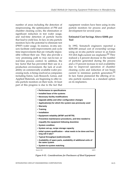number of areas including the detection of misprocessing, the optimization of PM and chamber cleaning cycles, the elimination or significant reduction in test wafer usage, and real-time detection of particle bursts that lead to yield loss. In fact, in-situ particle monitors have the potential to eliminate test (PWP) wafer usage. In essence, in-situ sensors facilitate yield improvements and cycle time improvements that are virtually impossible without their use. They also provide a very promising path to true run-to-run or real-time process control. In addition, the key factor that has prevented their use in a production environment, the lack of availability on commercially available wafer processing tools, is being resolved as companies including Eaton, Lam Research, Genus, and Applied Materials, are beginning to offer insitu particle monitors on their tools. At least part of this progress is due to the fact that equipment vendors have been using in-situ particle monitors for process and product development for several years.

#### **Estimated Cost Savings Above \$200k per Tool**

In 1992, Sematech engineers reported a \$200,000 annual cost of ownership savings using an in-situ particle sensor in an Eaton NV-20A high-current ion implanter.<sup>[9]</sup> They realized a 4 percent decrease in the number of particles generated during the process and a 15 percent increase in tool availability due to improved operation of chamber cleaning cycles and reduction of ion beam current to minimize particle generation.<sup>[9]</sup> In fact, Eaton pioneered the offering of insitu particle monitors as a standard option on its implanters.

- **• Performance to specifications • Installed base of the systems**
- **• Necessary facility modifications**
- **• Upgrade-ability and other configuration changes**
- **• Application(s) for which the system was previously used**
- **• Warranty**
- **• Training**
- **• Installation**
- **• Equipment reliability (MTBF and MTTR)**
- **• Preventive maintenance procedures, and time needed to requalify the equipment following downtime**
- **• System condition**
- **• System set-up, recipe storage capacity**
- **• Initial system qualification -- what needs to be done and how long will it take?**
- **• Typical throughput (wafers/month)**
- **• Availability of spare parts, availability of additional units of the same system**
- **• System-to-system matching**

Source: ICE 19979

*Figure 8-15. Considerations for Purchasers of Used Equipment*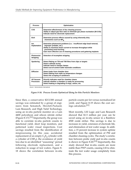| <b>Process</b>                         | Optimization                                                                                                                                                                                                                                                            |
|----------------------------------------|-------------------------------------------------------------------------------------------------------------------------------------------------------------------------------------------------------------------------------------------------------------------------|
| <b>CVD</b>                             | Determine effectiveness of dry cleaning process<br>Ability to adjust gas flow rates to eliminate gas phase nucleation (W-CVD)<br>Indicate need for electrode replacement                                                                                                |
| Etch                                   | Determine process effects caused by using inherently dirty<br>chemistries such as WF6                                                                                                                                                                                   |
| lon<br>Implantation                    | Determine photoresist problems (i.e.: insufficient edge bead removal,<br>improper prebake, etc.)<br>Ability to maximize beam current to increase throughput while<br>preventing resist burning<br>Gain more effective use of cleaning procedures and gettering implants |
| <b>Photoresist</b><br><b>Stripping</b> | Detection of incomplete stripping                                                                                                                                                                                                                                       |
| Sputtering                             | Detect flaking on TiN and TiW films from clips or targets<br>Detect cathode arcing<br>Indicate need to change clamps<br>Detect out-of-control wafer backside conditions                                                                                                 |
| <b>Diffusion</b>                       | Detect leaks from chamber door<br>Detect flaking from walls as temperature changes<br>Detect the scraping of cantilevers                                                                                                                                                |
| <b>All Vacuum</b><br><b>Processes</b>  | Directly indicates need for chamber cleans<br>Indicate whether a chamber is ready for processing<br>Detect leaking or degrading O-rings, valves, etc.                                                                                                                   |
| Source: Semiconductor International    | 19910                                                                                                                                                                                                                                                                   |

*Figure 8-16. Process Events Optimized Using In-Situ Particle Monitors*

Since then, a conservative \$213,500 annual savings was estimated by a group of engineers from Sematech, Hewlett-Packard, Lam Research, and High Yield Technology, using an in-situ particle monitor on a Lam 4400 polysilicon and silicon nitride etcher (Figure 8-17).<sup>[11]</sup> Importantly, the group was able to correlate in-situ particle counts to functional yield, short loop monitors, and patterned wafer visual inspections. Cost savings resulted from the identification of misprocessing (in this case, accidental replacement of an empty  $C_2F_6$  cylinder with a cylinder of  $CHF_3$ ), the avoidance of yield loss due to an identified "seasoning" period following electrode replacement, and a reduction in usage of test wafers. Figure 8- 18 shows the correlation between in-situ

particle counts per lot versus normalized lot yield, and Figure 8-19 shows the cost savings calculation.<sup>[11]</sup>

Most recently, LSI Logic and Lam Research showed that \$1.5 million per year can be saved using an in-situ sensor in a Rainbow 4500 oxide etcher. This savings is due to increases in yield, extension of electrode life, and elimination of test wafer usage. In addition, a 15 percent increase in system uptime resulted from the optimization of PM and chamber cleaning cycles. The study's correlation between probe yield and in-situ counts is shown in Figure 8-20.<sup>[12]</sup> Importantly, this study showed that in-situ counts are more stable than PWP counts, causing LSI to eliminate the test wafer usage completely from this process.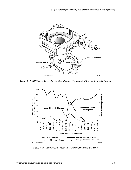

*Figure 8-17. HYT Sensor Located in the Etch Chamber Vacuum Manifold of a Lam 4400 System*



*Figure 8-18. Correlation Between In-Situ Particle Counts and Yield*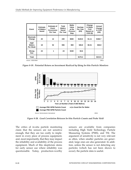| Event                                   | <b>Estimate</b><br>of Wafers<br>Saved | <b>Estimate of</b><br>Event<br>Occurrence<br>Per Year | Total<br>Wafers<br>Saved<br>Per Year | Wafer<br>Value<br>at the<br><b>Process</b><br><b>Step</b> | <b>Savings</b><br>Per Year<br>(K\$) | Change<br>in Wafer<br>Cost<br><b>Based on</b><br>$COO($ \$) | Annual<br>Change<br>in COO<br>(K\$) |
|-----------------------------------------|---------------------------------------|-------------------------------------------------------|--------------------------------------|-----------------------------------------------------------|-------------------------------------|-------------------------------------------------------------|-------------------------------------|
| <b>Electrode</b><br>Change              | 20                                    | 12                                                    | 240                                  | \$500                                                     | \$120.0                             | \$1.11                                                      | \$166.7                             |
| <b>PWP</b><br>Wafers<br><b>Per Week</b> | 18                                    | 52                                                    | 936                                  | \$50                                                      | \$46.8                              | \$0.31                                                      | \$46.8                              |
| Wrong<br>Gas                            | 24                                    | 1                                                     | 24                                   | \$150                                                     | \$3.6                               |                                                             |                                     |
| Total                                   |                                       |                                                       |                                      |                                                           | \$170.4                             |                                                             | \$213.5                             |
| Source: IEEE/SEMI                       |                                       |                                                       |                                      |                                                           |                                     |                                                             | 19913                               |

*Figure 8-19. Potential Return on Investment Realized by Using In-Situ Particle Monitors*



*Figure 8-20. Good Correlation Between In-Situ Particle Counts and Probe Yield*

The critics of in-situ particle monitoring claim that the sensors are not sensitive enough, that they are too costly to implement in every piece of process equipment, and, most importantly, that they may impact the reliability and availability of the process equipment. Much of this skepticism stems for early sensor use where reliability was questionable. Today, production-worthy

sensors are available from companies including High Yield Technology, Particle Measuring Systems (PMS), and TSI. The argument of sensitivity is not very relevant as often, when smaller particles are generated, large ones are also generated. In addition, unless the sensor is not detecting any particles (which has not been shown to occur), the particle data is useful.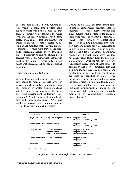The challenges associated with building insitu particle sensors into process tools includes positioning the sensor so that counts accurately reflect counts at the wafer level and the sensor optics do not become coated with films. Most importantly, the enormous amount of data collected by insitu particle monitors makes it very difficult to manage. However, with data storage capability increasing nearly every day, it is expected that such an analysis should prove possible very soon. Otherwise, techniques must be developed to record only particle bursts that represent out-of-spec processing conditions.

#### **Other Promising In-situ Sensors**

Beyond these applications, there are significant needs to monitor particle levels in process fluids (especially chemical purity and concentration in wafer cleaning/etching baths); critical dimensions (CDs) following photoresist development; uniformity, selectivity and CD control during etch; film thickness and composition during CVD and sputtering processes; and temperature during RTP, CVD, epitaxy, and etch processes.

During TI's MMST program, multi-point fiberoptic temperature sensors, acoustic thermometers, scatterometry systems and ellipsometers were developed for many of these purposes. For plasma processing, TI found that certain well-established processes, including polysilicon etch, tungsten etch, and nitride strip, are significantly improved with the addition of in-situ sensors (Figure 8-21). Resist ashing, on the other hand, is a well-established process that does not benefit considerably from the use of insitu sensors.<sup>[13]</sup> Over the next several years, ICE expects at least some of these sensors to become available on commercial etch and stripping tools. Figure 8-22 lists some of the outstanding sensor needs for most wafer processes, as identified by TI. Here we include only the sensors needed to measure the process state (e.g., plasma density, delivered power) and the wafer state (e.g. film thickness, uniformity), as many of the equipment state parameters are already monitored by commercially available process tools.[14]

| <b>Process</b>               | <b>Sensor Type</b>                                                                     | <b>Sensor Use</b>                                                                    |
|------------------------------|----------------------------------------------------------------------------------------|--------------------------------------------------------------------------------------|
| <b>Polysilicon Etch</b>      | Single wavelength ellipsometer                                                         | <b>Endpoint control</b><br>Etch rate and uniformity control                          |
| Silicon Nitride Etch         | <b>Monochromator</b>                                                                   | <b>Endpoint control</b><br>Etch rate and uniformity control                          |
| <b>Tungsten Etch</b>         | <b>Eddy current sensor</b><br><b>Monochromator</b><br><b>Critical dimension sensor</b> | <b>Endpoint calculation</b><br><b>Endpoint control</b><br>Pre-etch linewidth control |
| <b>Silicon Nitride Strip</b> | Special ellipsometer                                                                   | <b>Endpoint control</b><br><b>Diagnostics</b>                                        |
| <b>Resist Ash</b>            | <b>Monochromator</b>                                                                   | <b>Endpoint control</b><br><b>Diagnostics</b>                                        |

Source: Solid State Technology **19966 19966 19966 19966 19966 19966 19966 19966 19966** 

*Figure 8-21. In-Situ Sensors for Plasma Etch Processes*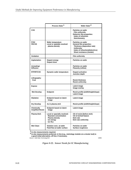|                                              | Process State <sup>1</sup>                                                                                | Wafer State <sup>2</sup>                                                                                                                                                   |
|----------------------------------------------|-----------------------------------------------------------------------------------------------------------|----------------------------------------------------------------------------------------------------------------------------------------------------------------------------|
| <b>CVD</b>                                   |                                                                                                           | <b>Particles on wafer</b><br><b>Film uniformity</b><br>Dielectric film properties:<br>Index of refraction<br>Stoichiometry                                                 |
| PVD/<br><b>PECVD</b>                         | Wafer temperature<br>Local or spatially resolved<br>plasma density                                        | Particles on wafer<br><b>General film properties:</b><br>Thickness (deposition rate)<br><b>Uniformity</b><br>Index of refraction(dielectrics)<br>Sheet resistance (metals) |
| Oxidation                                    |                                                                                                           | <b>Film uniformity</b>                                                                                                                                                     |
| Implantation                                 | Dopant energy<br><b>Dopant dose</b>                                                                       | <b>Particles on wafer</b>                                                                                                                                                  |
| Annealing/<br><b>Diffusion</b>               |                                                                                                           | <b>Particles on wafer</b><br><b>Planarity (reflow)</b>                                                                                                                     |
| <b>RTP/RTCVD</b>                             | Dynamic wafer temperature                                                                                 | <b>Dopant activation</b><br><b>Junction depth</b>                                                                                                                          |
| Lithography:<br>Coat                         |                                                                                                           | <b>Resist thickness</b><br><b>Resist uniformity</b>                                                                                                                        |
| <b>Expose</b>                                |                                                                                                           | Latent image<br>Image overlay                                                                                                                                              |
| <b>Wet Develop</b>                           | <b>Endpoint</b>                                                                                           | Resist profile (width/height/slope)<br>Latent image                                                                                                                        |
| <b>Silylation</b>                            | <b>Endpoint based on latent</b><br>image                                                                  | Latent image                                                                                                                                                               |
| <b>Dry Develop</b>                           | As in plasma etch                                                                                         | Resist profile (width/height/slope)                                                                                                                                        |
| <b>Chemically</b><br><b>Amplified Resist</b> | <b>Endpoint based on latent</b><br>image                                                                  | Latent image                                                                                                                                                               |
| Plasma Etch                                  | Local or spacially resolved:<br><b>Reactant concentration</b><br>Plasma density<br>lon energy<br>lon flux | CD of resist (before etch)<br>CD of etched feature<br>Etch rate<br>Etch rate uniformity                                                                                    |
| <b>Wet Clean</b>                             | Solution conc. at wafer<br><b>Fluid flow at wafer surface</b>                                             | <b>Particles on wafer</b><br><b>Surface roughness</b>                                                                                                                      |

<sup>1</sup> In-situ measurements required.<br><sup>2</sup> In-situ measurements preferred, in line (e.g., metrology module on a cluster tool) is  **a good initial alternative, off line, if necessary.**

Source: Solid State Technology/ICE 19995 19995 19995 19995 19995

*Figure 8-22. Sensor Needs for IC Manufacturing*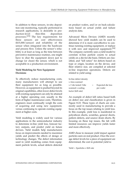In addition to these sensors, in-situ deposition rate monitoring, typically performed in research applications, is desirable in production-level thin-film deposition processes.[15] The key requirements for these sensors are cost effectiveness (\$15,000/sensor) and reliability of the sensor when integrated into the hardware and process flow. Unless the sensor's reliability is at least as long as the time between preventive maintenance routines, one might have to shut the equipment down just to change (or clean) the sensor, which is not acceptable in a production environment.

#### **Yield Modeling for New Equipment Decisions**

To effectively reduce manufacturing costs, many manufacturers will attempt to use their equipment for as long as possible. However, as equipment is pushed beyond its original capabilities, often lower defect levels with existing equipment can only be attained at a higher operating cost, usually in the form of higher maintenance costs. Therefore, engineers must continually weigh the costs of acquiring and using new equipment, versus continuing to operate existing equipment at higher costs.

Yield modeling is widely used for various applications in the semiconductor industry to determine in-line yield loss, forecast factory outputs, and predict yield on future devices. Yield models help manufacturers focus on improvements needed to maximize yields and predict the effects of design or technology changes. The defect information used in yield modeling comes from equipment particle levels, actual defects detected

on product wafers, and/or on back-calculations based on actual yields and failure analysis data.

Advanced Micro Devices (AMD) recently showed how yield models can be used to determine if it is more cost-effective to continue running existing equipment, or replace it with new and improved equipment.<sup>[16]</sup> The company currently uses a yield model to correlate in-line particle counts to actual yields on a die-for-die basis. Defects are classified, and "kill ratios" for defects based on type or origin, location on the device, and their relative size, are compiled at selected in-line inspection operations. Defects are related to yield using:

| In-line defect density |     |                   |
|------------------------|-----|-------------------|
| x Area scanned         |     |                   |
|                        | $=$ | Expected die loss |
| scanned x scaling      |     | per wafer         |
| factor (kill rate)     |     |                   |

An example of defect kill ratios based both on defect size and classification is given in Figure 8-23. These types of charts are commonly used in manufacturing to provide a focus on the top issues relating to yield loss. In this example, yield loss is manifested in polysilicon shorts, scratches, general shorts, pattern defects, and source/drain shorts. By focusing on these top issues, the fab with limited resources can improve yields faster and more effectively.

AMD chose to measure yield impact against particles seen on real product. Once the average defect levels for a piece of equipment are determined, the cost in potential yield is:

Yield =  $\#$ particles x Kill rate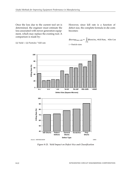Once the loss due to the current tool set is determined, the engineer must estimate the loss associated with newer generation equipment, which may replace the existing tool. A comparison is made by:

( $\Delta$ ) Yield = ( $\Delta$ ) Particles \* Kill rate

However, since kill rate is a function of defect size, the complete formula in die costs becomes:

$$
\Delta \text{Savings}_{\text{new-old}} = \left[ \sum_{i=0}^{n} \Delta \text{Particles}_{i} \times \text{Kill Rate}_{i} \right] \times \text{Die Cost}
$$
  
i = Particle sizes



*Figure 8-23. Yield Impact on Defect Size and Classification*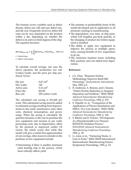The formula covers variables such as defect density, defect size, kill rates per defect size, and die cost. Frequently, however, defect kill rates can be very dependent on the location within a die, depending on whether the defect is on active or field regions of the chip. The equation becomes:

|                             | $\Delta$ Savings <sub>new-old</sub> = $\left[\sum_{a} \sum_{i=0}^{n} \Delta$ Particles <sub>a,i</sub> × Kill Rate <sub>a,i</sub> $\right]$ × Die Cost |  |
|-----------------------------|-------------------------------------------------------------------------------------------------------------------------------------------------------|--|
| $i =$ Particle sizes        |                                                                                                                                                       |  |
| $a =$ defect's die location |                                                                                                                                                       |  |

To calculate overall savings, one uses the above equation, the production run rate (wafers/week), and the price per chip produced. Given:

| Die size    | $0.47 \text{ cm}^2$    |
|-------------|------------------------|
| Die/wafer:  | 150                    |
| Active area | $0.12$ cm <sup>2</sup> |
| Price/die   | \$10.00                |
| Run rate    | 250 wafers/week        |

The calculated cost saving is \$11,668 per week. This substantial saving must be added to estimated savings resulting from improvements in line yield, maintenance costs, labor costs, chemical consumption, and power usage. When the saving is calculated, the question becomes, is the cost to purchase the new equipment and increase in per wafer processing costs, due to depreciation, offset by the payback in improved yields? Of course, the article warns that while this model will give a useful first-approximation of cost savings, other issues to consider in the purchase of new equipment include:

• Determining if there is another dominant yield limiting step in the process, which more critically affects yield.

- The certainty or predictability factor of the model developed and its application to all processes running in manufacturing.
- The degradation, over time, of chip price, which will lengthen pay-back periods, or the changing of product mix before equipment is installed.
- The ability to apply new equipment to improve the process at multiple operations, causing benefits of new acquisitions to go up.
- The numerous business issues including ROI, payback, and cost added from depreciation.

#### **References**

- 1. J.A. Chan, "Response Surface Methodology Improves Batch RIE Processing," *Semiconductor International*, Mar. 1995, p.5.
- 2. B. Anderson, A. Berezin, and I. Emami, "Defect Density Reduction in Tungsten Deposition and Etchback," IEEE/SEMI *Advanced Semiconductor Manufacturing Conference Proceedings*, 1994, p. 279.
- 3. S. Tripathi, et. al., "Comparison of the Applications of Process Simulations and FMEA: Two Case Studies," IEEE/SEMI *Advanced Semiconductor Manufacturing Conference Proceedings*, 1994, p. 140.
- 4. S. Bilotta and D. Proctor, "Development of a Manufacturable Low Pressure ROXNOX Oxidation Process," *IEEE/SEMI Advanced Semiconductor Manufacturing Conference Proceedings*, 1994, p. 39.
- 5. G. Actor, et al., "Partnering Works: A Case in Point," IEEE/SEMI International Semiconductor Manufacturing Science Symposium Proceedings, 1993, p. 74.